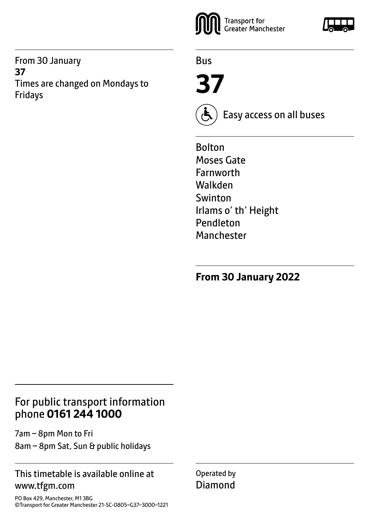From 30 January **37** Times are changed on Mondays to Fridays



Bus

**37**



Easy access on all buses

Bolton Moses Gate Farnworth Walkden Swinton Irlams o' th' Height Pendleton Manchester

**From 30 January 2022**

# For public transport information phone **0161 244 1000**

7am – 8pm Mon to Fri 8am – 8pm Sat, Sun & public holidays

### This timetable is available online at www.tfgm.com

PO Box 429, Manchester, M1 3BG ©Transport for Greater Manchester 21-SC-0805–G37–3000–1221 Operated by Diamond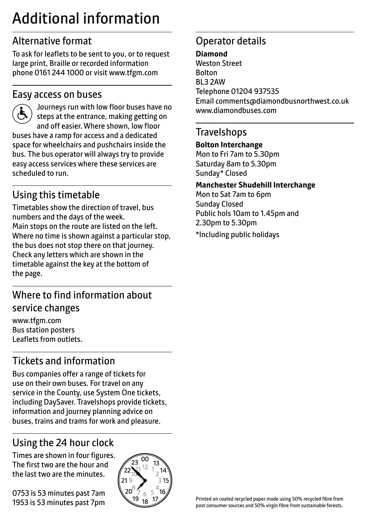# Additional information

# Alternative format

To ask for leaflets to be sent to you, or to request large print, Braille or recorded information phone 0161 244 1000 or visit www.tfgm.com

# Easy access on buses



 Journeys run with low floor buses have no steps at the entrance, making getting on and off easier. Where shown, low floor buses have a ramp for access and a dedicated space for wheelchairs and pushchairs inside the bus. The bus operator will always try to provide easy access services where these services are scheduled to run.

# Using this timetable

Timetables show the direction of travel, bus numbers and the days of the week. Main stops on the route are listed on the left. Where no time is shown against a particular stop, the bus does not stop there on that journey. Check any letters which are shown in the timetable against the key at the bottom of the page.

# Where to find information about service changes

www.tfgm.com Bus station posters Leaflets from outlets.

# Tickets and information

Bus companies offer a range of tickets for use on their own buses. For travel on any service in the County, use System One tickets, including DaySaver. Travelshops provide tickets, information and journey planning advice on buses, trains and trams for work and pleasure.

# Using the 24 hour clock

Times are shown in four figures. The first two are the hour and the last two are the minutes.

0753 is 53 minutes past 7am 1953 is 53 minutes past 7pm



# Operator details

#### **Diamond** Weston Street Bolton BL3 2AW Telephone 01204 937535 Email comments@diamondbusnorthwest.co.uk www.diamondbuses.com

### **Travelshops**

#### **Bolton Interchange**

Mon to Fri 7am to 5.30pm Saturday 8am to 5.30pm Sunday\* Closed

#### **Manchester Shudehill Interchange**

Mon to Sat 7am to 6pm Sunday Closed Public hols 10am to 1.45pm and 2.30pm to 5.30pm

\*Including public holidays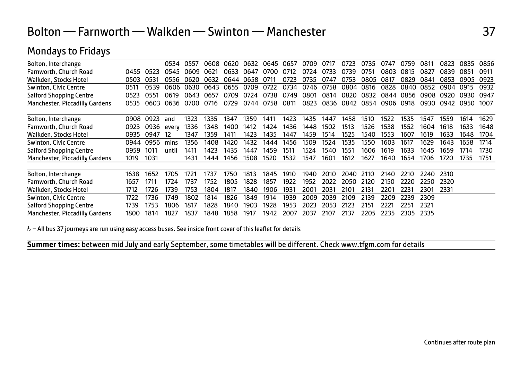| Bolton, Interchange                   |      |      | 0534  | 0557 | 0608 | 0620 | 0632      | 0645 | 0657 | 0709 | 0717 | 0723      | 0735 | 0747      | 0759 | 0811 | 0823 | 0835 | 0856 |
|---------------------------------------|------|------|-------|------|------|------|-----------|------|------|------|------|-----------|------|-----------|------|------|------|------|------|
| Farnworth, Church Road                | 0455 | 0523 | 0545  | 0609 | 0621 | 0633 | 0647      | 0700 | 0712 | 0724 | 0733 | 0739      | 0751 | 0803      | 0815 | 0827 | 0839 | 0851 | 0911 |
| Walkden, Stocks Hotel                 | 0503 | 0531 | 0556  | 0620 | 0632 | 0644 | 0658      | 0711 | 0723 | 0735 | 0747 | 0753      | 0805 | 0817      | 0829 | 0841 | 0853 | 0905 | 0923 |
| Swinton, Civic Centre                 | 0511 | 0539 | 0606  | 0630 | 0643 | 0655 | 0709      | 0722 | 0734 | 0746 | 0758 | 0804      | 0816 | 0828      | 0840 | 0852 | 0904 | 0915 | 0932 |
| <b>Salford Shopping Centre</b>        | 0523 | 0551 | 0619  | 0643 | 0657 | 0709 | 0724      | 0738 | 0749 | 0801 | 0814 | 0820      | 0832 | 0844      | 0856 | 0908 | 0920 | 0930 | 0947 |
| Manchester, Piccadilly Gardens        | 0535 | 0603 | 0636  | 0700 | 0716 | 0729 | 0744 0758 |      | 0811 | 0823 |      | 0836 0842 | 0854 | 0906 0918 |      | 0930 | 0942 | 0950 | 1007 |
|                                       |      |      |       |      |      |      |           |      |      |      |      |           |      |           |      |      |      |      |      |
| Bolton, Interchange                   | 0908 | 0923 | and   | 1323 | 1335 | 1347 | 1359      | 1411 | 1423 | 1435 | 1447 | 1458      | 1510 | 1522      | 1535 | 1547 | 1559 | 1614 | 1629 |
| Farnworth, Church Road                | 0923 | 0936 | every | 1336 | 1348 | 1400 | 1412      | 1424 | 1436 | 1448 | 1502 | 1513      | 1526 | 1538      | 1552 | 1604 | 1618 | 1633 | 1648 |
| Walkden, Stocks Hotel                 | 0935 | 0947 | 12    | 1347 | 1359 | 1411 | 1423      | 1435 | 1447 | 1459 | 1514 | 1525      | 1540 | 1553      | 1607 | 1619 | 1633 | 1648 | 1704 |
| Swinton, Civic Centre                 | 0944 | 0956 | mins  | 1356 | 1408 | 1420 | 1432      | 1444 | 1456 | 1509 | 1524 | 1535      | 1550 | 1603      | 1617 | 1629 | 1643 | 1658 | 1714 |
| <b>Salford Shopping Centre</b>        | 0959 | 1011 | until | 1411 | 1423 | 1435 | 1447      | 1459 | 1511 | 1524 | 1540 | 1551      | 1606 | 1619      | 1633 | 1645 | 1659 | 1714 | 1730 |
| Manchester, Piccadilly Gardens        | 1019 | 1031 |       | 1431 | 1444 | 1456 | 1508      | 1520 | 1532 | 1547 | 1601 | 1612      | 1627 | 1640      | 1654 | 1706 | 1720 | 1735 | 1751 |
|                                       |      |      |       |      |      |      |           |      |      |      |      |           |      |           |      |      |      |      |      |
| Bolton, Interchange                   | 1638 | 1652 | 1705  | 1721 | 1737 | 1750 | 1813      | 1845 | 1910 | 1940 | 2010 | 2040      | 2110 | 2140      | 2210 | 2240 | 2310 |      |      |
| Farnworth, Church Road                | 1657 | 1711 | 1724  | 1737 | 1752 | 1805 | 1828      | 1857 | 1922 | 1952 | 2022 | 2050      | 2120 | 2150      | 2220 | 2250 | 2320 |      |      |
| Walkden, Stocks Hotel                 | 1712 | 1726 | 1739  | 1753 | 1804 | 1817 | 1840      | 1906 | 1931 | 2001 | 2031 | 2101      | 2131 | 2201      | 2231 | 2301 | 2331 |      |      |
| Swinton, Civic Centre                 | 1722 | 1736 | 1749  | 1802 | 1814 | 1826 | 1849      | 1914 | 1939 | 2009 | 2039 | 2109      | 2139 | 2209      | 2239 | 2309 |      |      |      |
| <b>Salford Shopping Centre</b>        | 1739 | 1753 | 1806  | 1817 | 1828 | 1840 | 1903      | 1928 | 1953 | 2023 | 2053 | 2123      | 2151 | 2221      | 2251 | 2321 |      |      |      |
| <b>Manchester, Piccadilly Gardens</b> | 1800 | 1814 | 1827  | 1837 | 1848 | 1858 | 1917      | 1942 | 2007 | 2037 | 2107 | 2137      | 2205 | 2235      | 2305 | 2335 |      |      |      |

### Mondays to Fridays

& - All bus 37 journeys are run using easy access buses. See inside front cover of this leaflet for details

**Summer times:** between mid July and early September, some timetables will be different. Check www.tfgm.com for details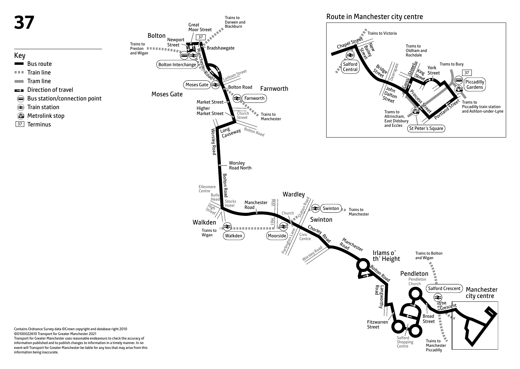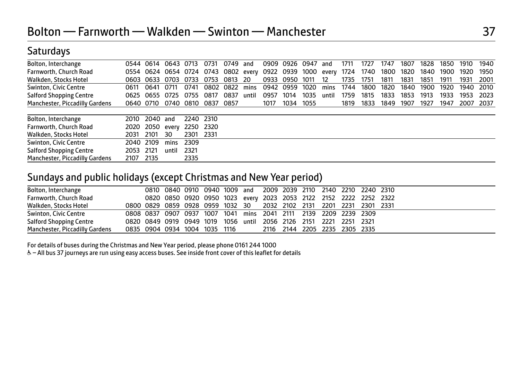# **Saturdays**

| Bolton, Interchange            | 0544 | 0614 | 0643 0713           |           | 0731            | 0749 | and   | 0909 | 0926      | 0947 | and   | 1711 | 1727 | 1747 | 1807 | 1828 | 1850 | 1910 | 1940 |
|--------------------------------|------|------|---------------------|-----------|-----------------|------|-------|------|-----------|------|-------|------|------|------|------|------|------|------|------|
| Farnworth, Church Road         |      |      | 0554 0624 0654 0724 |           | 0743 0802 every |      |       | 0922 | 0939 1000 |      | every | 1724 | 1740 | 1800 | 1820 | 1840 | 1900 | 1920 | 1950 |
| Walkden, Stocks Hotel          | 0603 | 0633 | 0703                | 0733      | 0753            | 0813 | -20   | 0933 | 0950      | 1011 | 12    | 1735 | 1751 | 1811 | 1831 | 1851 | 1911 | 1931 | 2001 |
| Swinton, Civic Centre          | 0611 | 0641 | 0711                | 0741      | 0802            | 0822 | mins  | 0942 | 0959      | 1020 | mins  | 1744 | 1800 | 1820 | 1840 | 1900 | 1920 | 1940 | 2010 |
| <b>Salford Shopping Centre</b> | 0625 | 0655 | 0725                | 0755      | 0817            | 0837 | until | 0957 | 1014      | 1035 | until | 1759 | 1815 | 1833 | 1853 | 1913 | 1933 | 1953 | 2023 |
| Manchester, Piccadilly Gardens | 0640 | 0710 |                     | 0740 0810 | 0837            | 0857 |       | 1017 | 1034      | 1055 |       | 1819 | 1833 | 1849 | 1907 | 1927 | 1947 | 2007 | 2037 |
| Bolton, Interchange            | 2010 | 2040 | and                 | 2240 2310 |                 |      |       |      |           |      |       |      |      |      |      |      |      |      |      |
| Farnworth, Church Road         | 2020 | 2050 | every               | 2250      | 2320            |      |       |      |           |      |       |      |      |      |      |      |      |      |      |
| Walkden, Stocks Hotel          | 2031 | 2101 | 30                  | 2301      | 2331            |      |       |      |           |      |       |      |      |      |      |      |      |      |      |
| Swinton, Civic Centre          | 2040 | 2109 | mins                | 2309      |                 |      |       |      |           |      |       |      |      |      |      |      |      |      |      |
| <b>Salford Shopping Centre</b> | 2053 | 2121 | until               | 2321      |                 |      |       |      |           |      |       |      |      |      |      |      |      |      |      |
| Manchester, Piccadilly Gardens | 2107 | 2135 |                     | 2335      |                 |      |       |      |           |      |       |      |      |      |      |      |      |      |      |

### Sundays and public holidays (except Christmas and New Year period)

| Bolton, Interchange            |  |  |  |  |  |                                                                   | 0810 0840 0910 0940 1009 and 2009 2039 2110 2140 2210 2240 2310     |  |
|--------------------------------|--|--|--|--|--|-------------------------------------------------------------------|---------------------------------------------------------------------|--|
| Farnworth, Church Road         |  |  |  |  |  |                                                                   | 0820 0850 0920 0950 1023 every 2023 2053 2122 2152 2222 2252 2322   |  |
| Walkden, Stocks Hotel          |  |  |  |  |  |                                                                   | 0800 0829 0859 0928 0959 1032 30 2032 2102 2131 2201 2231 2301 2331 |  |
| Swinton, Civic Centre          |  |  |  |  |  | 0808 0837 0907 0937 1007 1041 mins 2041 2111 2139 2209 2239 2309  |                                                                     |  |
| <b>Salford Shopping Centre</b> |  |  |  |  |  | 0820 0849 0919 0949 1019 1056 until 2056 2126 2151 2221 2251 2321 |                                                                     |  |
| Manchester, Piccadilly Gardens |  |  |  |  |  |                                                                   |                                                                     |  |

For details of buses during the Christmas and New Year period, please phone 0161 244 1000

& - All bus 37 journeys are run using easy access buses. See inside front cover of this leaflet for details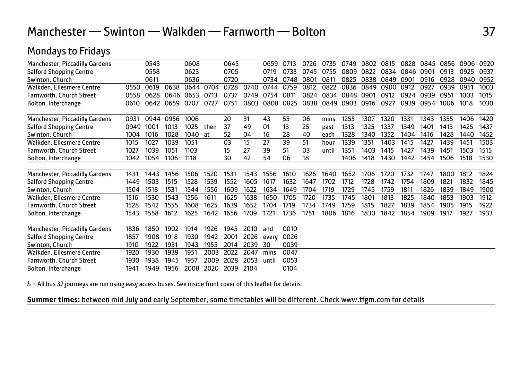# Mondays to Fridays

| Manchester, Piccadilly Gardens        |      | 0543 |      | 0608 |      | 0645 |      | 0659  | 0713 | 0726 | 0735  | 0749 | 0802 | 0815 | 0828 | 0845 | 0856 | 0906 | 0920 |
|---------------------------------------|------|------|------|------|------|------|------|-------|------|------|-------|------|------|------|------|------|------|------|------|
| <b>Salford Shopping Centre</b>        |      | 0558 |      | 0623 |      | 0705 |      | 0719  | 0733 | 0745 | 0755  | 0809 | 0822 | 0834 | 0846 | 0901 | 0913 | 0925 | 0937 |
| Swinton, Church                       |      | 0611 |      | 0636 |      | 0720 |      | 0734  | 0748 | 0801 | 0811  | 0825 | 0838 | 0849 | 0901 | 0916 | 0928 | 0940 | 0952 |
| Walkden, Ellesmere Centre             | 0550 | 0619 | 0638 | 0644 | 0704 | 0728 | 0740 | 0744  | 0759 | 0812 | 0822  | 0836 | 0849 | 0900 | 0912 | 0927 | 0939 | 0951 | 1003 |
| <b>Farnworth, Church Street</b>       | 0558 | 0628 | 0646 | 0653 | 0713 | 0737 | 0749 | 0754  | 0811 | 0824 | 0834  | 0848 | 0901 | 0912 | 0924 | 0939 | 0951 | 1003 | 1015 |
| Bolton, Interchange                   | 0610 | 0642 | 0659 | 0707 | 0727 | 0751 | 0803 | 0808  | 0825 | 0838 | 0849  | 0903 | 0916 | 0927 | 0939 | 0954 | 1006 | 1018 | 1030 |
|                                       |      |      |      |      |      |      |      |       |      |      |       |      |      |      |      |      |      |      |      |
| <b>Manchester, Piccadilly Gardens</b> | 0931 | 0944 | 0956 | 1006 |      | 20   | 31   | 43    | 55   | 06   | mins  | 1255 | 1307 | 1320 | 1331 | 1343 | 1355 | 1406 | 1420 |
| <b>Salford Shopping Centre</b>        | 0949 | 1001 | 1013 | 1025 | then | 37   | 49   | 01    | 13   | 25   | past  | 1313 | 1325 | 1337 | 1349 | 1401 | 1413 | 1425 | 1437 |
| Swinton, Church                       | 1004 | 1016 | 1028 | 1040 | at   | 52   | 04   | 16    | 28   | 40   | each  | 1328 | 1340 | 1352 | 1404 | 1416 | 1428 | 1440 | 1452 |
| Walkden, Ellesmere Centre             | 1015 | 1027 | 1039 | 1051 |      | 03   | 15   | 27    | 39   | 51   | hour  | 1339 | 1351 | 1403 | 1415 | 1427 | 1439 | 1451 | 1503 |
| Farnworth, Church Street              | 1027 | 1039 | 1051 | 1103 |      | 15   | 27   | 39    | 51   | 03   | until | 1351 | 1403 | 1415 | 1427 | 1439 | 1451 | 1503 | 1515 |
| Bolton, Interchange                   | 1042 | 1054 | 1106 | 1118 |      | 30   | 42   | 54    | 06   | 18   |       | 1406 | 1418 | 1430 | 1442 | 1454 | 1506 | 1518 | 1530 |
|                                       |      |      |      |      |      |      |      |       |      |      |       |      |      |      |      |      |      |      |      |
| Manchester, Piccadilly Gardens        | 1431 | 1443 | 1456 | 1506 | 1520 | 1531 | 1543 | 1556  | 1610 | 1626 | 1640  | 1652 | 1706 | 1720 | 1732 | 1747 | 1800 | 1812 | 1824 |
| <b>Salford Shopping Centre</b>        | 1449 | 1503 | 1515 | 1528 | 1539 | 1552 | 1605 | 1617  | 1632 | 1647 | 1702  | 1712 | 1728 | 1742 | 1754 | 1809 | 1821 | 1832 | 1845 |
| Swinton, Church                       | 1504 | 1518 | 1531 | 1544 | 1556 | 1609 | 1622 | 1634  | 1649 | 1704 | 1719  | 1729 | 1745 | 1759 | 1811 | 1826 | 1839 | 1849 | 1900 |
| Walkden, Ellesmere Centre             | 1516 | 1530 | 1543 | 1556 | 1611 | 1625 | 1638 | 1650  | 1705 | 1720 | 1735  | 1745 | 1801 | 1813 | 1825 | 1840 | 1853 | 1903 | 1912 |
| Farnworth, Church Street              | 1528 | 1542 | 1555 | 1608 | 1625 | 1639 | 1652 | 1704  | 1719 | 1734 | 1749  | 1759 | 1815 | 1827 | 1839 | 1854 | 1905 | 1915 | 1922 |
| Bolton, Interchange                   | 1543 | 1558 | 1612 | 1625 | 1642 | 1656 | 1709 | 1721  | 1736 | 1751 | 1806  | 1816 | 1830 | 1842 | 1854 | 1909 | 1917 | 1927 | 1933 |
| Manchester, Piccadilly Gardens        | 1836 | 1850 | 1902 | 1914 | 1926 | 1945 | 2010 | and   | 0010 |      |       |      |      |      |      |      |      |      |      |
| <b>Salford Shopping Centre</b>        | 1857 | 1908 | 1918 | 1930 | 1942 | 2001 | 2026 | every | 0026 |      |       |      |      |      |      |      |      |      |      |
| Swinton, Church                       | 1910 | 1922 | 1931 | 1943 | 1955 | 2014 | 2039 | 30    | 0039 |      |       |      |      |      |      |      |      |      |      |
| Walkden, Ellesmere Centre             | 1920 | 1930 | 1939 | 1951 | 2003 | 2022 | 2047 | mins  | 0047 |      |       |      |      |      |      |      |      |      |      |
| <b>Farnworth, Church Street</b>       | 1930 | 1938 | 1945 | 1957 | 2009 | 2028 | 2053 | until | 0053 |      |       |      |      |      |      |      |      |      |      |
| Bolton, Interchange                   | 1941 | 1949 | 1956 | 2008 | 2020 | 2039 | 2104 |       | 0104 |      |       |      |      |      |      |      |      |      |      |
|                                       |      |      |      |      |      |      |      |       |      |      |       |      |      |      |      |      |      |      |      |

& - All bus 37 journeys are run using easy access buses. See inside front cover of this leaflet for details

**Summer times:** between mid July and early September, some timetables will be different. Check www.tfgm.com for details